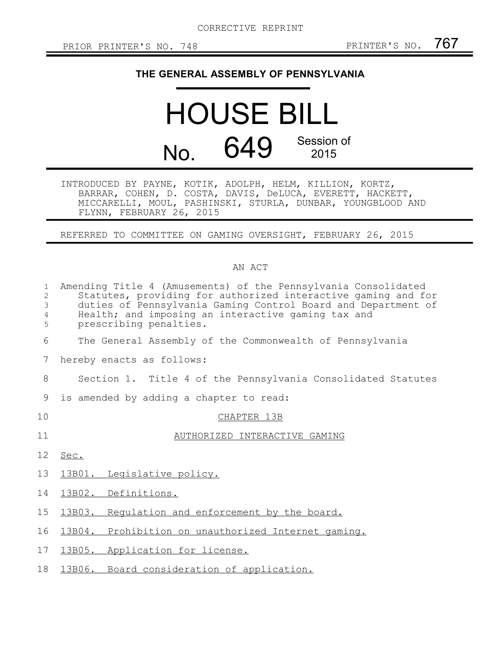## **THE GENERAL ASSEMBLY OF PENNSYLVANIA**

## HOUSE BILL No. 649 Session of 2015

INTRODUCED BY PAYNE, KOTIK, ADOLPH, HELM, KILLION, KORTZ, BARRAR, COHEN, D. COSTA, DAVIS, DeLUCA, EVERETT, HACKETT, MICCARELLI, MOUL, PASHINSKI, STURLA, DUNBAR, YOUNGBLOOD AND FLYNN, FEBRUARY 26, 2015

REFERRED TO COMMITTEE ON GAMING OVERSIGHT, FEBRUARY 26, 2015

## AN ACT

| $\mathbf{1}$<br>$\overline{2}$<br>3<br>$\overline{4}$<br>5 | Amending Title 4 (Amusements) of the Pennsylvania Consolidated<br>Statutes, providing for authorized interactive gaming and for<br>duties of Pennsylvania Gaming Control Board and Department of<br>Health; and imposing an interactive gaming tax and<br>prescribing penalties. |
|------------------------------------------------------------|----------------------------------------------------------------------------------------------------------------------------------------------------------------------------------------------------------------------------------------------------------------------------------|
| 6                                                          | The General Assembly of the Commonwealth of Pennsylvania                                                                                                                                                                                                                         |
| 7                                                          | hereby enacts as follows:                                                                                                                                                                                                                                                        |
| 8                                                          | Section 1. Title 4 of the Pennsylvania Consolidated Statutes                                                                                                                                                                                                                     |
| 9                                                          | is amended by adding a chapter to read:                                                                                                                                                                                                                                          |
| 10                                                         | CHAPTER 13B                                                                                                                                                                                                                                                                      |
| 11                                                         | AUTHORIZED INTERACTIVE GAMING                                                                                                                                                                                                                                                    |
| 12 <sup>°</sup>                                            | Sec.                                                                                                                                                                                                                                                                             |
| 13                                                         | 13B01. Legislative policy.                                                                                                                                                                                                                                                       |
| 14                                                         | 13B02. Definitions.                                                                                                                                                                                                                                                              |
| 15 <sub>1</sub>                                            | 13B03. Requlation and enforcement by the board.                                                                                                                                                                                                                                  |
| 16                                                         | 13B04. Prohibition on unauthorized Internet gaming.                                                                                                                                                                                                                              |
| 17                                                         | 13B05. Application for license.                                                                                                                                                                                                                                                  |
| 18                                                         | 13B06. Board consideration of application.                                                                                                                                                                                                                                       |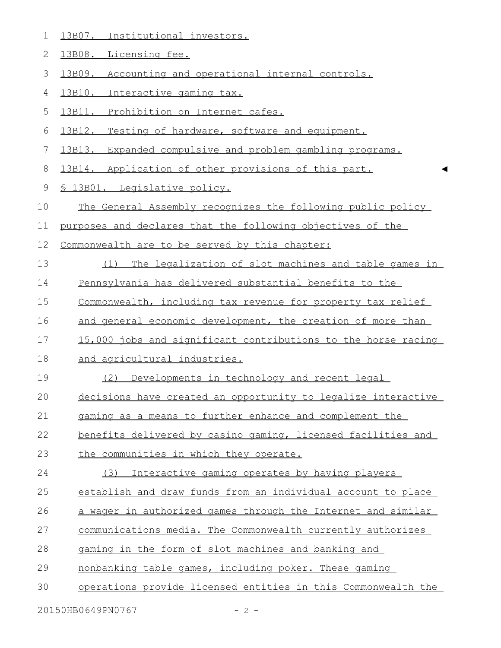| 1              | 13B07. Institutional investors.                               |
|----------------|---------------------------------------------------------------|
| $\overline{2}$ | 13B08. Licensing fee.                                         |
| 3              | 13B09.<br>Accounting and operational internal controls.       |
| 4              | 13B10. Interactive gaming tax.                                |
| 5              | 13B11. Prohibition on Internet cafes.                         |
| 6              | 13B12. Testing of hardware, software and equipment.           |
| 7              | 13B13. Expanded compulsive and problem gambling programs.     |
| 8              | 13B14. Application of other provisions of this part.          |
| $\mathsf 9$    | <u>S 13B01. Legislative policy.</u>                           |
| 10             | The General Assembly recognizes the following public policy   |
| 11             | purposes and declares that the following objectives of the    |
| 12             | Commonwealth are to be served by this chapter:                |
| 13             | (1) The legalization of slot machines and table games in      |
| 14             | Pennsylvania has delivered substantial benefits to the        |
| 15             | Commonwealth, including tax revenue for property tax relief   |
| 16             | and general economic development, the creation of more than   |
| 17             | 15,000 jobs and significant contributions to the horse racing |
| 18             | and agricultural industries.                                  |
| 19             | Developments in technology and recent legal<br>(2)            |
| 20             | decisions have created an opportunity to legalize interactive |
| 21             | gaming as a means to further enhance and complement the       |
| 22             | benefits delivered by casino gaming, licensed facilities and  |
| 23             | the communities in which they operate.                        |
| 24             | (3)<br>Interactive gaming operates by having players          |
| 25             | establish and draw funds from an individual account to place  |
| 26             | a wager in authorized games through the Internet and similar  |
| 27             | communications media. The Commonwealth currently authorizes   |
| 28             | gaming in the form of slot machines and banking and           |
| 29             | nonbanking table games, including poker. These gaming         |
| 30             | operations provide licensed entities in this Commonwealth the |
|                | 20150HB0649PN0767<br>$-2-$                                    |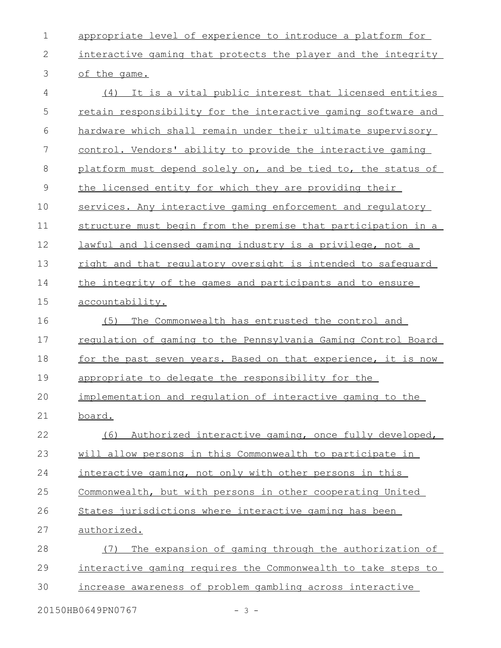appropriate level of experience to introduce a platform for interactive gaming that protects the player and the integrity of the game. (4) It is a vital public interest that licensed entities retain responsibility for the interactive gaming software and hardware which shall remain under their ultimate supervisory control. Vendors' ability to provide the interactive gaming platform must depend solely on, and be tied to, the status of the licensed entity for which they are providing their services. Any interactive gaming enforcement and regulatory structure must begin from the premise that participation in a lawful and licensed gaming industry is a privilege, not a right and that regulatory oversight is intended to safeguard the integrity of the games and participants and to ensure accountability. (5) The Commonwealth has entrusted the control and regulation of gaming to the Pennsylvania Gaming Control Board for the past seven years. Based on that experience, it is now appropriate to delegate the responsibility for the implementation and regulation of interactive gaming to the board. (6) Authorized interactive gaming, once fully developed, will allow persons in this Commonwealth to participate in interactive gaming, not only with other persons in this Commonwealth, but with persons in other cooperating United States jurisdictions where interactive gaming has been authorized. (7) The expansion of gaming through the authorization of interactive gaming requires the Commonwealth to take steps to increase awareness of problem gambling across interactive 1 2 3 4 5 6 7 8 9 10 11 12 13 14 15 16 17 18 19 20 21 22 23 24 25 26 27 28 29 30

20150HB0649PN0767 - 3 -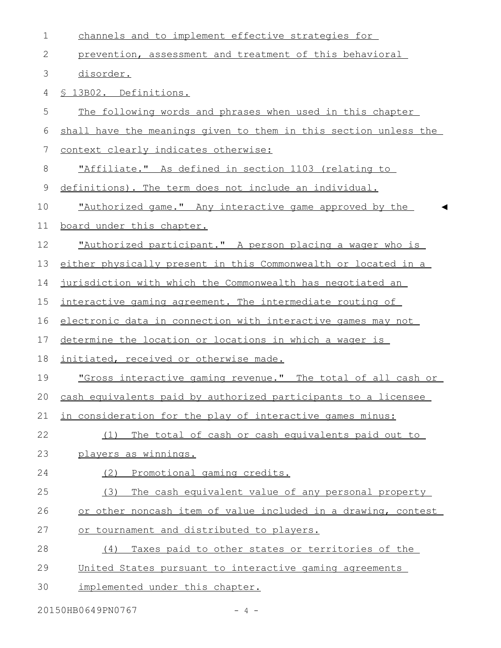| $\mathbf 1$   | channels and to implement effective strategies for               |
|---------------|------------------------------------------------------------------|
| $\mathbf{2}$  | prevention, assessment and treatment of this behavioral          |
| $\mathcal{S}$ | disorder.                                                        |
| 4             | § 13B02. Definitions.                                            |
| 5             | The following words and phrases when used in this chapter        |
| 6             | shall have the meanings given to them in this section unless the |
| 7             | context clearly indicates otherwise:                             |
| 8             | <u>"Affiliate." As defined in section 1103 (relating to </u>     |
| $\mathsf 9$   | definitions). The term does not include an individual.           |
| 10            | "Authorized game." Any interactive game approved by the          |
| 11            | board under this chapter.                                        |
| 12            | "Authorized participant." A person placing a wager who is        |
| 13            | either physically present in this Commonwealth or located in a   |
| 14            | jurisdiction with which the Commonwealth has negotiated an       |
| 15            | interactive gaming agreement. The intermediate routing of        |
| 16            | electronic data in connection with interactive games may not     |
| 17            | determine the location or locations in which a wager is          |
| 18            | initiated, received or otherwise made.                           |
| 19            | "Gross interactive gaming revenue." The total of all cash or     |
| 20            | cash equivalents paid by authorized participants to a licensee   |
| 21            | in consideration for the play of interactive games minus:        |
| 22            | The total of cash or cash equivalents paid out to<br>(1)         |
| 23            | players as winnings.                                             |
| 24            | Promotional gaming credits.<br>(2)                               |
| 25            | (3)<br>The cash equivalent value of any personal property        |
| 26            | or other noncash item of value included in a drawing, contest    |
| 27            | or tournament and distributed to players.                        |
| 28            | Taxes paid to other states or territories of the<br>(4)          |
| 29            | United States pursuant to interactive gaming agreements          |
| 30            | implemented under this chapter.                                  |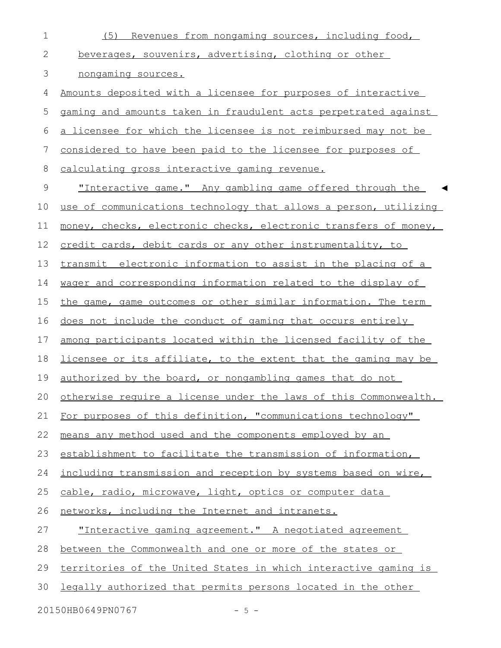| $\mathbf 1$   | (5) Revenues from nongaming sources, including food,                 |
|---------------|----------------------------------------------------------------------|
| 2             | beverages, souvenirs, advertising, clothing or other                 |
| $\mathcal{S}$ | nongaming sources.                                                   |
| 4             | <u>Amounts deposited with a licensee for purposes of interactive</u> |
| 5             | gaming and amounts taken in fraudulent acts perpetrated against      |
| 6             | a licensee for which the licensee is not reimbursed may not be       |
| 7             | considered to have been paid to the licensee for purposes of         |
| 8             | calculating gross interactive gaming revenue.                        |
| $\mathsf 9$   | "Interactive game." Any gambling game offered through the            |
| 10            | use of communications technology that allows a person, utilizing     |
| 11            | money, checks, electronic checks, electronic transfers of money,     |
| 12            | credit cards, debit cards or any other instrumentality, to           |
| 13            | transmit electronic information to assist in the placing of a        |
| 14            | wager and corresponding information related to the display of        |
| 15            | the game, game outcomes or other similar information. The term       |
| 16            | does not include the conduct of gaming that occurs entirely          |
| 17            | among participants located within the licensed facility of the       |
| 18            | licensee or its affiliate, to the extent that the gaming may be      |
| 19            | authorized by the board, or nongambling games that do not            |
|               | 20 otherwise require a license under the laws of this Commonwealth.  |
| 21            | For purposes of this definition, "communications technology"         |
| 22            | means any method used and the components employed by an              |
| 23            | establishment to facilitate the transmission of information,         |
| 24            | including transmission and reception by systems based on wire,       |
| 25            | cable, radio, microwave, light, optics or computer data              |
| 26            | networks, including the Internet and intranets.                      |
| 27            | "Interactive gaming agreement." A negotiated agreement               |
| 28            | between the Commonwealth and one or more of the states or            |
| 29            | territories of the United States in which interactive gaming is      |
| 30            | legally authorized that permits persons located in the other         |
|               | 20150HB0649PN0767<br>$-5 -$                                          |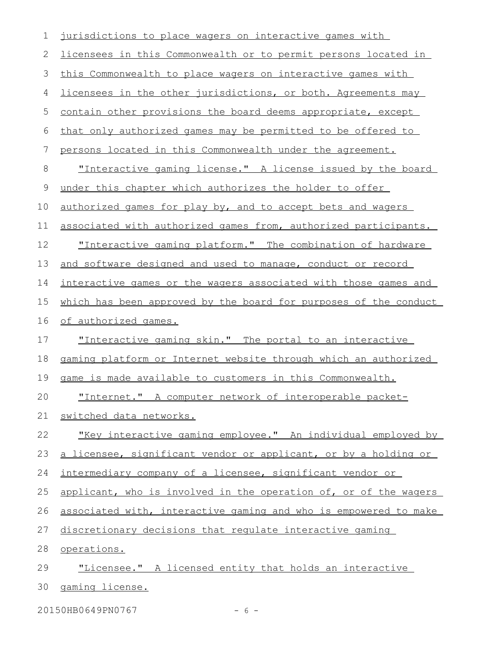| 1           | jurisdictions to place wagers on interactive games with          |
|-------------|------------------------------------------------------------------|
| 2           | licensees in this Commonwealth or to permit persons located in   |
| 3           | this Commonwealth to place wagers on interactive games with      |
| 4           | licensees in the other jurisdictions, or both. Agreements may    |
| 5           | contain other provisions the board deems appropriate, except     |
| 6           | that only authorized games may be permitted to be offered to     |
| 7           | persons located in this Commonwealth under the agreement.        |
| $8\,$       | "Interactive gaming license." A license issued by the board      |
| $\mathsf 9$ | under this chapter which authorizes the holder to offer          |
| 10          | authorized games for play by, and to accept bets and wagers      |
| 11          | associated with authorized games from, authorized participants.  |
| 12          | "Interactive gaming platform." The combination of hardware       |
| 13          | and software designed and used to manage, conduct or record      |
| 14          | interactive games or the wagers associated with those games and  |
| 15          | which has been approved by the board for purposes of the conduct |
| 16          | of authorized games.                                             |
| 17          | <u>"Interactive gaming skin." The portal to an interactive</u>   |
| 18          | gaming platform or Internet website through which an authorized  |
| 19          | <u>game is made available to customers in this Commonwealth.</u> |
| 20          | "Internet." A computer network of interoperable packet-          |
| 21          | switched data networks.                                          |
| 22          | "Key interactive gaming employee." An individual employed by     |
| 23          | a licensee, significant vendor or applicant, or by a holding or  |
| 24          | intermediary company of a licensee, significant vendor or        |
| 25          | applicant, who is involved in the operation of, or of the wagers |
| 26          | associated with, interactive gaming and who is empowered to make |
| 27          | discretionary decisions that requlate interactive gaming         |
| 28          | operations.                                                      |
| 29          | "Licensee." A licensed entity that holds an interactive          |
| 30          | gaming license.                                                  |
|             |                                                                  |

20150HB0649PN0767 - 6 -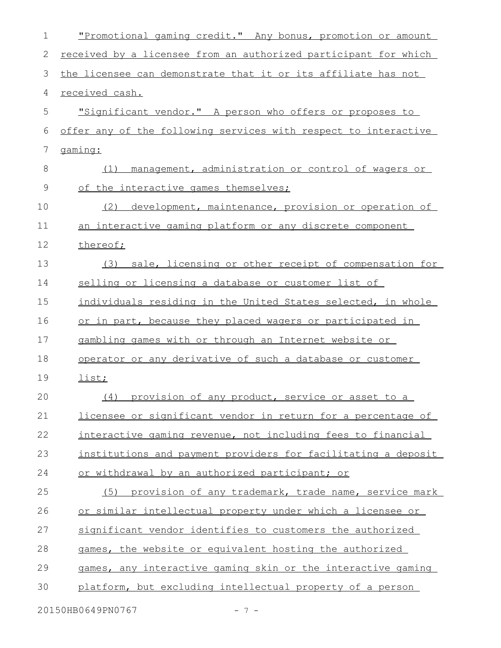| $\mathbf 1$    | "Promotional gaming credit." Any bonus, promotion or amount     |
|----------------|-----------------------------------------------------------------|
| 2              | received by a licensee from an authorized participant for which |
| $\mathcal{S}$  | the licensee can demonstrate that it or its affiliate has not   |
| 4              | received cash.                                                  |
| 5              | "Significant vendor." A person who offers or proposes to        |
| 6              | offer any of the following services with respect to interactive |
| $\overline{7}$ | gaming:                                                         |
| 8              | management, administration or control of wagers or<br>(1)       |
| 9              | of the interactive games themselves;                            |
| 10             | development, maintenance, provision or operation of<br>(2)      |
| 11             | an interactive gaming platform or any discrete component        |
| 12             | thereof;                                                        |
| 13             | sale, licensing or other receipt of compensation for<br>(3)     |
| 14             | selling or licensing a database or customer list of             |
| 15             | individuals residing in the United States selected, in whole    |
| 16             | or in part, because they placed wagers or participated in       |
| 17             | gambling games with or through an Internet website or           |
| 18             | operator or any derivative of such a database or customer       |
| 19             | list;                                                           |
| 20             | (4) provision of any product, service or asset to a             |
| 21             | licensee or significant vendor in return for a percentage of    |
| 22             | interactive gaming revenue, not including fees to financial     |
| 23             | institutions and payment providers for facilitating a deposit   |
| 24             | or withdrawal by an authorized participant; or                  |
| 25             | provision of any trademark, trade name, service mark<br>(5)     |
| 26             | or similar intellectual property under which a licensee or      |
| 27             | significant vendor identifies to customers the authorized       |
| 28             | games, the website or equivalent hosting the authorized         |
| 29             | games, any interactive gaming skin or the interactive gaming    |
| 30             | platform, but excluding intellectual property of a person       |
|                | 20150HB0649PN0767<br>$-7-$                                      |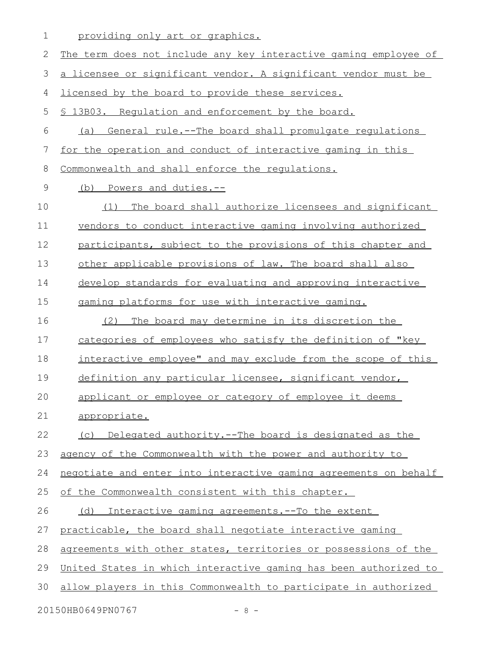| 1           | providing only art or graphics.                                  |
|-------------|------------------------------------------------------------------|
| 2           | The term does not include any key interactive gaming employee of |
| 3           | a licensee or significant vendor. A significant vendor must be   |
| 4           | licensed by the board to provide these services.                 |
| 5           | § 13B03. Requlation and enforcement by the board.                |
| 6           | (a) General rule.--The board shall promulgate regulations        |
| 7           | for the operation and conduct of interactive gaming in this      |
| 8           | Commonwealth and shall enforce the requlations.                  |
| $\mathsf 9$ | (b) Powers and duties.--                                         |
| 10          | (1) The board shall authorize licensees and significant          |
| 11          | vendors to conduct interactive gaming involving authorized       |
| 12          | participants, subject to the provisions of this chapter and      |
| 13          | other applicable provisions of law. The board shall also         |
| 14          | develop standards for evaluating and approving interactive       |
| 15          | gaming platforms for use with interactive gaming.                |
| 16          | The board may determine in its discretion the<br>(2)             |
| 17          | categories of employees who satisfy the definition of "key       |
| 18          | interactive employee" and may exclude from the scope of this     |
| 19          | definition any particular licensee, significant vendor,          |
| 20          | applicant or employee or category of employee it deems           |
| 21          | appropriate.                                                     |
| 22          | (c) Delegated authority.--The board is designated as the         |
| 23          | agency of the Commonwealth with the power and authority to       |
| 24          | negotiate and enter into interactive gaming agreements on behalf |
| 25          | of the Commonwealth consistent with this chapter.                |
| 26          | (d) Interactive gaming agreements.--To the extent                |
| 27          | practicable, the board shall negotiate interactive gaming        |
| 28          | agreements with other states, territories or possessions of the  |
| 29          | United States in which interactive gaming has been authorized to |
| 30          | allow players in this Commonwealth to participate in authorized  |
|             | 20150HB0649PN0767<br>$-8-$                                       |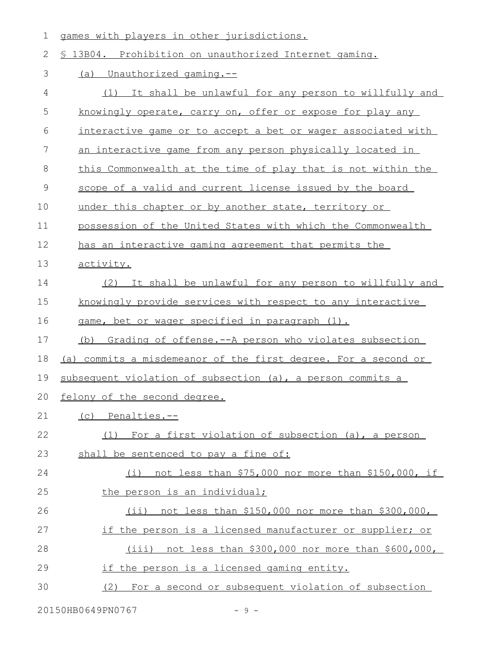1 games with players in other jurisdictions.

| 2  | \$ 13B04. Prohibition on unauthorized Internet gaming.              |
|----|---------------------------------------------------------------------|
| 3  | <u>(a) Unauthorized gaming.--</u>                                   |
| 4  | (1) It shall be unlawful for any person to willfully and            |
| 5  | knowingly operate, carry on, offer or expose for play any           |
| 6  | <u>interactive game or to accept a bet or wager associated with</u> |
| 7  | an interactive game from any person physically located in           |
| 8  | this Commonwealth at the time of play that is not within the        |
| 9  | scope of a valid and current license issued by the board            |
| 10 | under this chapter or by another state, territory or                |
| 11 | possession of the United States with which the Commonwealth         |
| 12 | has an interactive gaming agreement that permits the                |
| 13 | activity.                                                           |
| 14 | (2) It shall be unlawful for any person to willfully and            |
| 15 | knowingly provide services with respect to any interactive          |
| 16 | game, bet or wager specified in paragraph (1).                      |
| 17 | (b) Grading of offense.--A person who violates subsection           |
| 18 | (a) commits a misdemeanor of the first degree. For a second or      |
| 19 | subsequent violation of subsection (a), a person commits a          |
| 20 | felony of the second degree.                                        |
| 21 | (c) Penalties.--                                                    |
| 22 | (1) For a first violation of subsection (a), a person               |
| 23 | shall be sentenced to pay a fine of:                                |
| 24 | (i) not less than \$75,000 nor more than \$150,000, if              |
| 25 | the person is an individual;                                        |
| 26 | $(i)$ not less than \$150,000 nor more than \$300,000,              |
| 27 | if the person is a licensed manufacturer or supplier; or            |
| 28 | (iii) not less than \$300,000 nor more than \$600,000,              |
| 29 | if the person is a licensed gaming entity.                          |
| 30 | (2) For a second or subsequent violation of subsection              |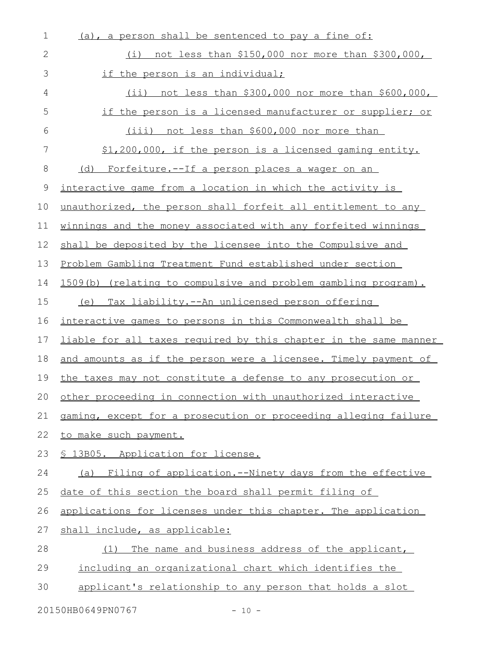| 1            | (a), a person shall be sentenced to pay a fine of:               |
|--------------|------------------------------------------------------------------|
| $\mathbf{2}$ | (i) not less than \$150,000 nor more than \$300,000,             |
| 3            | if the person is an individual;                                  |
| 4            | $(ii)$ not less than \$300,000 nor more than \$600,000,          |
| 5            | if the person is a licensed manufacturer or supplier; or         |
| 6            | (iii)<br>not less than \$600,000 nor more than                   |
| 7            | \$1,200,000, if the person is a licensed gaming entity.          |
| $8\,$        | (d) Forfeiture.--If a person places a wager on an                |
| 9            | interactive game from a location in which the activity is        |
| 10           | unauthorized, the person shall forfeit all entitlement to any    |
| 11           | winnings and the money associated with any forfeited winnings    |
| 12           | shall be deposited by the licensee into the Compulsive and       |
| 13           | Problem Gambling Treatment Fund established under section        |
| 14           | 1509(b) (relating to compulsive and problem gambling program).   |
| 15           | (e) Tax liability.--An unlicensed person offering                |
| 16           | interactive games to persons in this Commonwealth shall be       |
| 17           | liable for all taxes required by this chapter in the same manner |
| 18           | and amounts as if the person were a licensee. Timely payment of  |
| 19           | the taxes may not constitute a defense to any prosecution or     |
|              | 20 other proceeding in connection with unauthorized interactive  |
| 21           | gaming, except for a prosecution or proceeding alleging failure  |
| 22           | to make such payment.                                            |
| 23           | § 13B05. Application for license.                                |
| 24           | (a) Filing of application.--Ninety days from the effective       |
| 25           | date of this section the board shall permit filing of            |
| 26           | applications for licenses under this chapter. The application    |
| 27           | shall include, as applicable:                                    |
| 28           | The name and business address of the applicant,<br>(1)           |
| 29           | including an organizational chart which identifies the           |
| 30           | applicant's relationship to any person that holds a slot         |
|              |                                                                  |

20150HB0649PN0767 - 10 -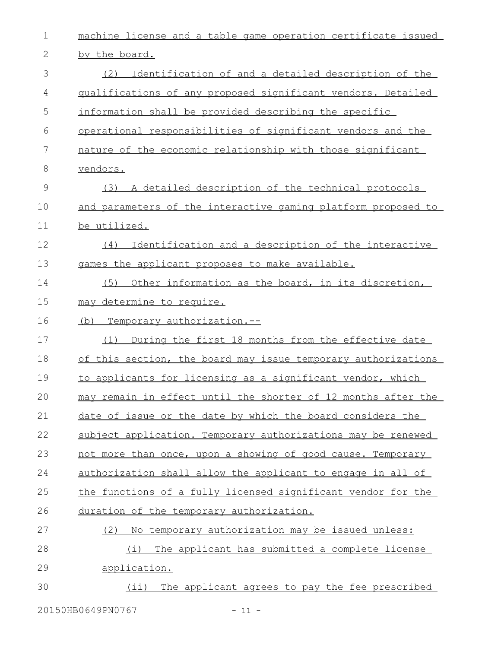| $\mathbf 1$  | machine license and a table game operation certificate issued      |
|--------------|--------------------------------------------------------------------|
| $\mathbf{2}$ | by the board.                                                      |
| 3            | Identification of and a detailed description of the<br>(2)         |
| 4            | qualifications of any proposed significant vendors. Detailed       |
| 5            | information shall be provided describing the specific              |
| 6            | operational responsibilities of significant vendors and the        |
| 7            | nature of the economic relationship with those significant         |
| 8            | vendors.                                                           |
| 9            | A detailed description of the technical protocols<br>(3)           |
| 10           | and parameters of the interactive gaming platform proposed to      |
| 11           | be utilized.                                                       |
| 12           | Identification and a description of the interactive<br>(4)         |
| 13           | games the applicant proposes to make available.                    |
| 14           | Other information as the board, in its discretion,<br>(5)          |
| 15           | may determine to require.                                          |
| 16           | Temporary authorization.--<br>(b)                                  |
| 17           | During the first 18 months from the effective date<br>(1)          |
| 18           | of this section, the board may issue temporary authorizations      |
| 19           | to applicants for licensing as a significant vendor, which         |
| 20           | may remain in effect until the shorter of 12 months after the      |
| 21           | date of issue or the date by which the board considers the         |
| 22           | subject application. Temporary authorizations may be renewed       |
| 23           | not more than once, upon a showing of good cause. Temporary        |
| 24           | <u>authorization shall allow the applicant to engage in all of</u> |
| 25           | the functions of a fully licensed significant vendor for the       |
| 26           | duration of the temporary authorization.                           |
| 27           | (2) No temporary authorization may be issued unless:               |
| 28           | The applicant has submitted a complete license<br>(i)              |
| 29           | application.                                                       |
| 30           | The applicant agrees to pay the fee prescribed<br>$(i$ i)          |
|              |                                                                    |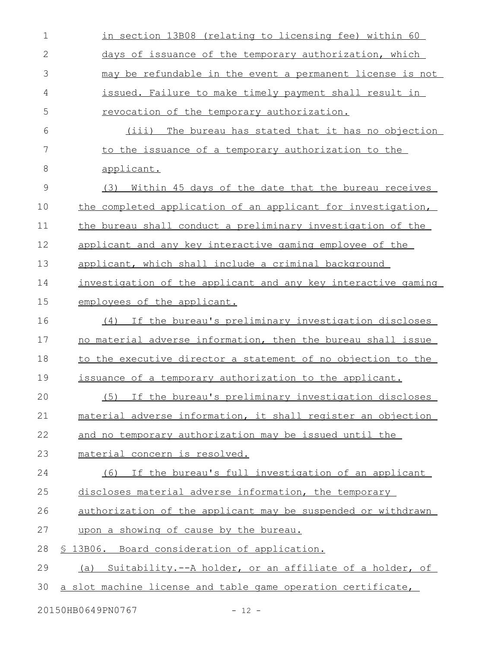| $\mathbf 1$  | in section 13B08 (relating to licensing fee) within 60              |
|--------------|---------------------------------------------------------------------|
| $\mathbf{2}$ | days of issuance of the temporary authorization, which              |
| 3            | may be refundable in the event a permanent license is not           |
| 4            | issued. Failure to make timely payment shall result in              |
| 5            | revocation of the temporary authorization.                          |
| 6            | (iii) The bureau has stated that it has no objection                |
| 7            | to the issuance of a temporary authorization to the                 |
| $8\,$        | applicant.                                                          |
| $\mathsf 9$  | (3) Within 45 days of the date that the bureau receives             |
| 10           | the completed application of an applicant for investigation,        |
| 11           | the bureau shall conduct a preliminary investigation of the         |
| 12           | applicant and any key interactive gaming employee of the            |
| 13           | applicant, which shall include a criminal background                |
| 14           | investigation of the applicant and any key interactive gaming       |
| 15           | employees of the applicant.                                         |
| 16           | If the bureau's preliminary investigation discloses<br>(4)          |
| 17           | no material adverse information, then the bureau shall issue        |
| 18           | to the executive director a statement of no objection to the        |
| 19           | issuance of a temporary authorization to the applicant.             |
| 20           | If the bureau's preliminary investigation discloses<br>(5)          |
| 21           | material adverse information, it shall register an objection        |
| 22           | and no temporary authorization may be issued until the              |
| 23           | material concern is resolved.                                       |
| 24           | (6)<br>If the bureau's full investigation of an applicant           |
| 25           | discloses material adverse information, the temporary               |
| 26           | <u>authorization of the applicant may be suspended or withdrawn</u> |
| 27           | upon a showing of cause by the bureau.                              |
| 28           | § 13B06. Board consideration of application.                        |
| 29           | (a) Suitability.--A holder, or an affiliate of a holder, of         |
| 30           | a slot machine license and table game operation certificate,        |

20150HB0649PN0767 - 12 -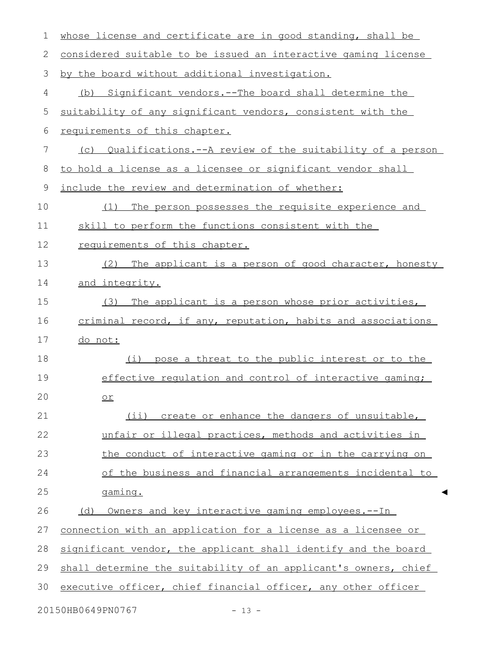| $\mathbf 1$  | whose license and certificate are in good standing, shall be    |
|--------------|-----------------------------------------------------------------|
| $\mathbf{2}$ | considered suitable to be issued an interactive gaming license  |
| 3            | by the board without additional investigation.                  |
| 4            | Significant vendors. -- The board shall determine the<br>(b)    |
| 5            | suitability of any significant vendors, consistent with the     |
| 6            | requirements of this chapter.                                   |
| 7            | (c) Qualifications.--A review of the suitability of a person    |
| 8            | to hold a license as a licensee or significant vendor shall     |
| $\mathsf 9$  | include the review and determination of whether:                |
| 10           | The person possesses the requisite experience and<br>(1)        |
| 11           | skill to perform the functions consistent with the              |
| 12           | requirements of this chapter.                                   |
| 13           | (2)<br>The applicant is a person of good character, honesty     |
| 14           | and integrity.                                                  |
| 15           | The applicant is a person whose prior activities,<br>(3)        |
| 16           | criminal record, if any, reputation, habits and associations    |
| 17           | do not:                                                         |
| 18           | pose a threat to the public interest or to the<br>(i)           |
| 19           | effective regulation and control of interactive gaming;         |
| 20           | O <sub>L</sub>                                                  |
| 21           | (ii) create or enhance the dangers of unsuitable,               |
| 22           | unfair or illegal practices, methods and activities in          |
| 23           | the conduct of interactive gaming or in the carrying on         |
| 24           | of the business and financial arrangements incidental to        |
| 25           | gaming.                                                         |
| 26           | Owners and key interactive gaming employees.--In<br>(d)         |
| 27           | connection with an application for a license as a licensee or   |
| 28           | significant vendor, the applicant shall identify and the board  |
| 29           | shall determine the suitability of an applicant's owners, chief |
| 30           | executive officer, chief financial officer, any other officer   |
|              | 20150HB0649PN0767<br>$-13 -$                                    |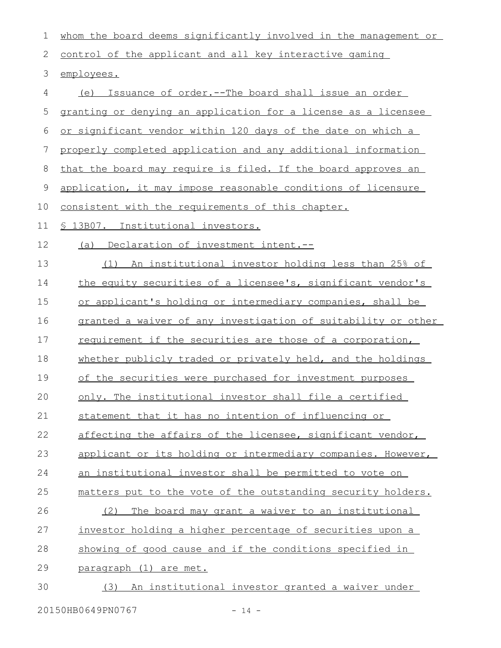| $\mathbf 1$     | whom the board deems significantly involved in the management or |
|-----------------|------------------------------------------------------------------|
| 2               | control of the applicant and all key interactive gaming          |
| 3               | employees.                                                       |
| 4               | (e) Issuance of order.--The board shall issue an order           |
| 5               | granting or denying an application for a license as a licensee   |
| $6\,$           | or significant vendor within 120 days of the date on which a     |
| $7\phantom{.0}$ | properly completed application and any additional information    |
| $8\,$           | that the board may require is filed. If the board approves an    |
| $\mathsf 9$     | application, it may impose reasonable conditions of licensure    |
| 10              | consistent with the requirements of this chapter.                |
| 11              | § 13B07. Institutional investors.                                |
| 12              | (a) Declaration of investment intent.--                          |
| 13              | (1) An institutional investor holding less than 25% of           |
| 14              | the equity securities of a licensee's, significant vendor's      |
| 15              | or applicant's holding or intermediary companies, shall be       |
| 16              | granted a waiver of any investigation of suitability or other    |
| 17              | requirement if the securities are those of a corporation,        |
| 18              | whether publicly traded or privately held, and the holdings      |
| 19              | of the securities were purchased for investment purposes         |
| 20              | only. The institutional investor shall file a certified          |
| 21              | statement that it has no intention of influencing or             |
| 22              | affecting the affairs of the licensee, significant vendor,       |
| 23              | applicant or its holding or intermediary companies. However,     |
| 24              | <u>an institutional investor shall be permitted to vote on</u>   |
| 25              | matters put to the vote of the outstanding security holders.     |
| 26              | The board may grant a waiver to an institutional<br>(2)          |
| 27              | investor holding a higher percentage of securities upon a        |
| 28              | showing of good cause and if the conditions specified in         |
| 29              | paragraph (1) are met.                                           |
| 30              | An institutional investor granted a waiver under<br>(3)          |
|                 |                                                                  |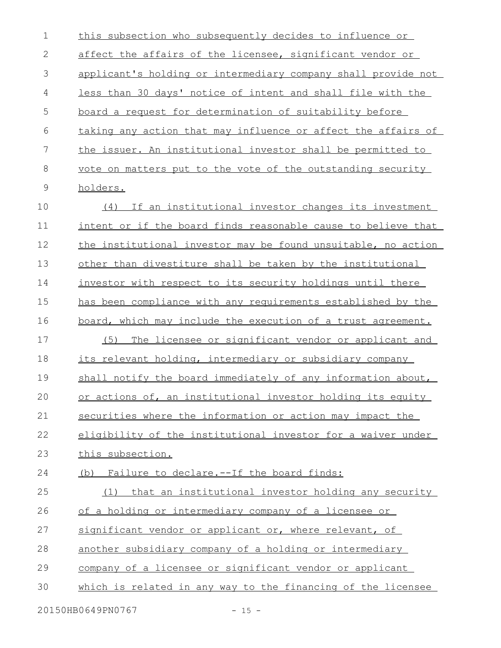| $\mathbf 1$   | this subsection who subsequently decides to influence or       |
|---------------|----------------------------------------------------------------|
| 2             | affect the affairs of the licensee, significant vendor or      |
| 3             | applicant's holding or intermediary company shall provide not  |
| 4             | less than 30 days' notice of intent and shall file with the    |
| 5             | <u>board a request for determination of suitability before</u> |
| 6             | taking any action that may influence or affect the affairs of  |
| 7             | the issuer. An institutional investor shall be permitted to    |
| $8\,$         | vote on matters put to the vote of the outstanding security    |
| $\mathcal{G}$ | holders.                                                       |
| 10            | If an institutional investor changes its investment<br>(4)     |
| 11            | intent or if the board finds reasonable cause to believe that  |
| 12            | the institutional investor may be found unsuitable, no action  |
| 13            | other than divestiture shall be taken by the institutional     |
| 14            | investor with respect to its security holdings until there     |
| 15            | has been compliance with any requirements established by the   |
| 16            | board, which may include the execution of a trust agreement.   |
| 17            | (5) The licensee or significant vendor or applicant and        |
| 18            | its relevant holding, intermediary or subsidiary company       |
| 19            | shall notify the board immediately of any information about,   |
| 20            | or actions of, an institutional investor holding its equity    |
| 21            | securities where the information or action may impact the      |
| 22            | eligibility of the institutional investor for a waiver under   |
| 23            | this subsection.                                               |
| 24            | (b) Failure to declare.--If the board finds:                   |
| 25            | (1) that an institutional investor holding any security        |
| 26            | of a holding or intermediary company of a licensee or          |
| 27            | significant vendor or applicant or, where relevant, of         |
| 28            | another subsidiary company of a holding or intermediary        |
| 29            | company of a licensee or significant vendor or applicant       |
| 30            | which is related in any way to the financing of the licensee   |
|               | 20150HB0649PN0767<br>$-15 -$                                   |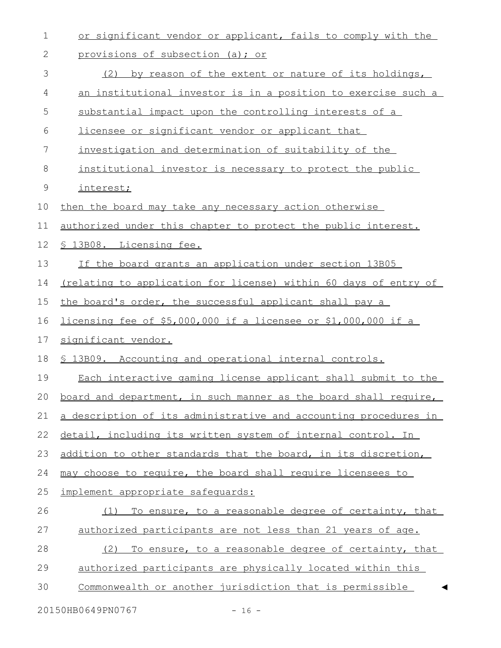| 1           | or significant vendor or applicant, fails to comply with the         |
|-------------|----------------------------------------------------------------------|
| 2           | provisions of subsection (a); or                                     |
| 3           | by reason of the extent or nature of its holdings,<br>(2)            |
| 4           | <u>an institutional investor is in a position to exercise such a</u> |
| 5           | substantial impact upon the controlling interests of a               |
| 6           | licensee or significant vendor or applicant that                     |
| 7           | investigation and determination of suitability of the                |
| $\,8\,$     | institutional investor is necessary to protect the public            |
| $\mathsf 9$ | interest;                                                            |
| 10          | then the board may take any necessary action otherwise               |
| 11          | authorized under this chapter to protect the public interest.        |
| 12          | § 13B08. Licensing fee.                                              |
| 13          | If the board grants an application under section 13B05               |
| 14          | (relating to application for license) within 60 days of entry of     |
| 15          | the board's order, the successful applicant shall pay a              |
| 16          | licensing fee of \$5,000,000 if a licensee or \$1,000,000 if a       |
| 17          | significant vendor.                                                  |
| 18          | \$ 13B09. Accounting and operational internal controls.              |
| 19          | Each interactive gaming license applicant shall submit to the        |
| 20          | board and department, in such manner as the board shall require,     |
| 21          | a description of its administrative and accounting procedures in     |
| 22          | detail, including its written system of internal control. In         |
| 23          | addition to other standards that the board, in its discretion,       |
| 24          | may choose to require, the board shall require licensees to          |
| 25          | implement appropriate safequards:                                    |
| 26          | (1) To ensure, to a reasonable degree of certainty, that             |
| 27          | authorized participants are not less than 21 years of age.           |
| 28          | (2)<br>To ensure, to a reasonable degree of certainty, that          |
| 29          | authorized participants are physically located within this           |
| 30          | Commonwealth or another jurisdiction that is permissible             |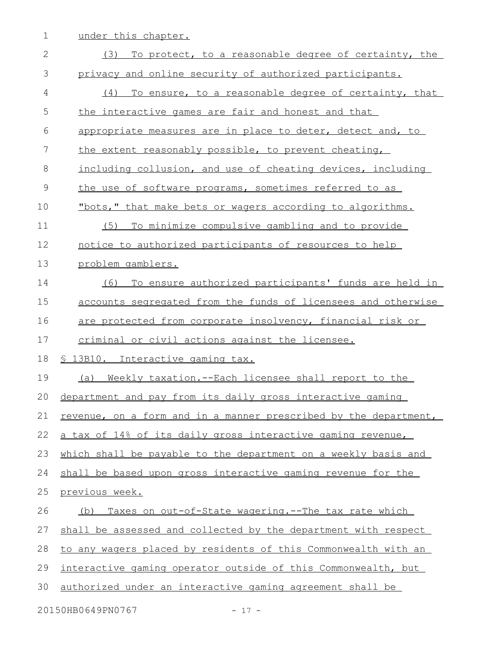1 under this chapter.

| $\overline{2}$ | (3)<br>To protect, to a reasonable degree of certainty, the      |
|----------------|------------------------------------------------------------------|
| 3              | privacy and online security of authorized participants.          |
| 4              | To ensure, to a reasonable degree of certainty, that<br>(4)      |
| 5              | the interactive games are fair and honest and that               |
| 6              | appropriate measures are in place to deter, detect and, to       |
| 7              | the extent reasonably possible, to prevent cheating,             |
| 8              | including collusion, and use of cheating devices, including      |
| $\mathcal{G}$  | the use of software programs, sometimes referred to as           |
| 10             | "bots," that make bets or wagers according to algorithms.        |
| 11             | To minimize compulsive gambling and to provide<br>(5)            |
| 12             | notice to authorized participants of resources to help           |
| 13             | problem gamblers.                                                |
| 14             | To ensure authorized participants' funds are held in<br>(6)      |
| 15             | accounts segregated from the funds of licensees and otherwise    |
| 16             | are protected from corporate insolvency, financial risk or       |
| 17             | criminal or civil actions against the licensee.                  |
| 18             | § 13B10. Interactive gaming tax.                                 |
| 19             | (a) Weekly taxation.--Each licensee shall report to the          |
| 20             | department and pay from its daily gross interactive gaming       |
|                |                                                                  |
| 21             | revenue, on a form and in a manner prescribed by the department, |
| 22             | a tax of 14% of its daily gross interactive gaming revenue,      |
| 23             | which shall be payable to the department on a weekly basis and   |
| 24             | shall be based upon gross interactive gaming revenue for the     |
| 25             | <u>previous week.</u>                                            |
| 26             | Taxes on out-of-State wagering. -- The tax rate which<br>(b)     |
| 27             | shall be assessed and collected by the department with respect   |
| 28             | to any wagers placed by residents of this Commonwealth with an   |
| 29             | interactive gaming operator outside of this Commonwealth, but    |
| 30             | authorized under an interactive gaming agreement shall be        |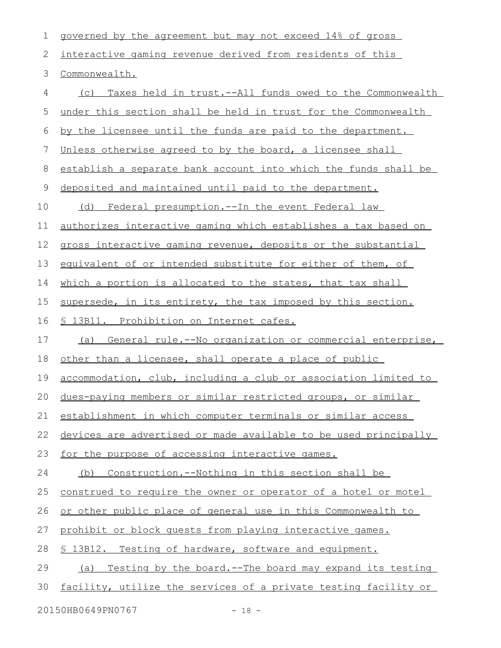| 1  | governed by the agreement but may not exceed 14% of gross             |
|----|-----------------------------------------------------------------------|
| 2  | interactive gaming revenue derived from residents of this             |
| 3  | Commonwealth.                                                         |
| 4  | Taxes held in trust.--All funds owed to the Commonwealth<br>(C)       |
| 5  | under this section shall be held in trust for the Commonwealth        |
| 6  | by the licensee until the funds are paid to the department.           |
| 7  | Unless otherwise agreed to by the board, a licensee shall             |
| 8  | establish a separate bank account into which the funds shall be       |
| 9  | deposited and maintained until paid to the department.                |
| 10 | (d) Federal presumption.--In the event Federal law                    |
| 11 | <u>authorizes interactive gaming which establishes a tax based on</u> |
| 12 | gross interactive gaming revenue, deposits or the substantial         |
| 13 | equivalent of or intended substitute for either of them, of           |
| 14 | which a portion is allocated to the states, that tax shall            |
| 15 | supersede, in its entirety, the tax imposed by this section.          |
| 16 | § 13B11. Prohibition on Internet cafes.                               |
| 17 | (a) General rule.--No organization or commercial enterprise,          |
| 18 | other than a licensee, shall operate a place of public                |
| 19 | accommodation, club, including a club or association limited to       |
|    | 20 dues-paying members or similar restricted groups, or similar       |
| 21 | establishment in which computer terminals or similar access           |
| 22 | devices are advertised or made available to be used principally       |
| 23 | for the purpose of accessing interactive games.                       |
| 24 | <u>Construction.--Nothing in this section shall be</u><br>(b)         |
| 25 | construed to require the owner or operator of a hotel or motel        |
| 26 | or other public place of general use in this Commonwealth to          |
| 27 | prohibit or block quests from playing interactive games.              |
| 28 | \$ 13B12. Testing of hardware, software and equipment.                |
| 29 | Testing by the board.--The board may expand its testing<br>(a)        |
| 30 | facility, utilize the services of a private testing facility or       |
|    | 20150HB0649PN0767<br>$-18 -$                                          |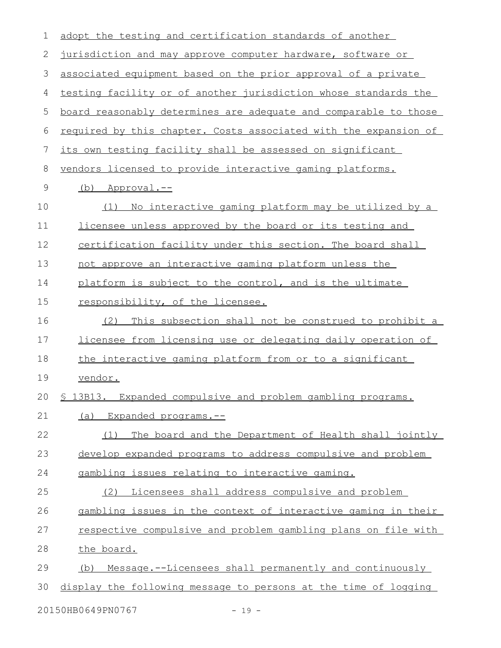| 1           | adopt the testing and certification standards of another         |
|-------------|------------------------------------------------------------------|
| 2           | jurisdiction and may approve computer hardware, software or      |
| 3           | associated equipment based on the prior approval of a private    |
| 4           | testing facility or of another jurisdiction whose standards the  |
| 5           | board reasonably determines are adequate and comparable to those |
| 6           | required by this chapter. Costs associated with the expansion of |
| 7           | its own testing facility shall be assessed on significant        |
| $\,8\,$     | vendors licensed to provide interactive gaming platforms.        |
| $\mathsf 9$ | (b) Approval.--                                                  |
| 10          | (1) No interactive gaming platform may be utilized by a          |
| 11          | licensee unless approved by the board or its testing and         |
| 12          | certification facility under this section. The board shall       |
| 13          | not approve an interactive gaming platform unless the            |
| 14          | platform is subject to the control, and is the ultimate          |
| 15          | responsibility, of the licensee.                                 |
| 16          | This subsection shall not be construed to prohibit a<br>(2)      |
| 17          | licensee from licensing use or delegating daily operation of     |
| 18          | the interactive gaming platform from or to a significant         |
| 19          | vendor.                                                          |
| 20          | \$ 13B13. Expanded compulsive and problem gambling programs.     |
| 21          | Expanded programs.--<br>(a)                                      |
| 22          | The board and the Department of Health shall jointly<br>(1)      |
| 23          | develop expanded programs to address compulsive and problem      |
| 24          | gambling issues relating to interactive gaming.                  |
| 25          | (2) Licensees shall address compulsive and problem               |
| 26          | gambling issues in the context of interactive gaming in their    |
| 27          | respective compulsive and problem gambling plans on file with    |
| 28          | the board.                                                       |
| 29          | Message.--Licensees shall permanently and continuously<br>(b)    |
| 30          | display the following message to persons at the time of logging  |
|             | 20150HB0649PN0767<br>$-19 -$                                     |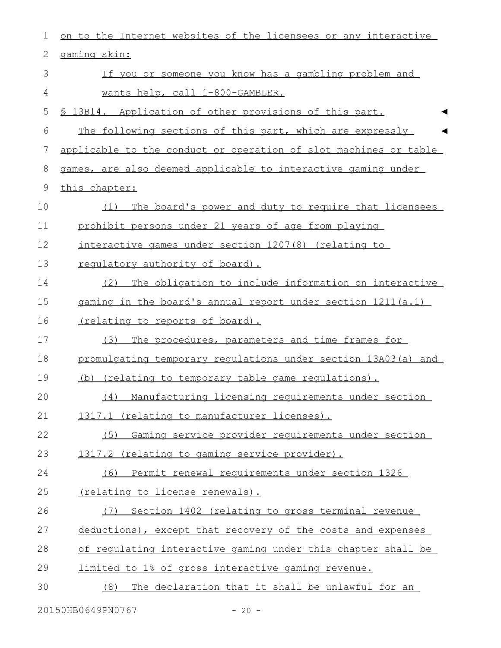| 1               | on to the Internet websites of the licensees or any interactive  |
|-----------------|------------------------------------------------------------------|
| $\sqrt{2}$      | gaming skin:                                                     |
| 3               | If you or someone you know has a gambling problem and            |
| 4               | wants help, call 1-800-GAMBLER.                                  |
| 5               | 13B14. Application of other provisions of this part.             |
| 6               | The following sections of this part, which are expressly         |
| $7\phantom{.0}$ | applicable to the conduct or operation of slot machines or table |
| $8\,$           | games, are also deemed applicable to interactive gaming under    |
| 9               | this chapter:                                                    |
| 10              | The board's power and duty to require that licensees<br>(1)      |
| 11              | prohibit persons under 21 years of age from playing              |
| 12              | interactive games under section 1207(8) (relating to             |
| 13              | requlatory authority of board).                                  |
| 14              | The obligation to include information on interactive<br>(2)      |
| 15              | gaming in the board's annual report under section 1211(a.1)      |
| 16              | <u>(relating to reports of board).</u>                           |
| 17              | The procedures, parameters and time frames for<br>(3)            |
| 18              | promulgating temporary regulations under section 13A03(a) and    |
| 19              | (b) (relating to temporary table game regulations).              |
| 20              | (4) Manufacturing licensing requirements under section           |
| 21              | 1317.1 (relating to manufacturer licenses).                      |
| 22              | Gaming service provider requirements under section<br>(5)        |
| 23              | 1317.2 (relating to gaming service provider).                    |
| 24              | (6) Permit renewal requirements under section 1326               |
| 25              | (relating to license renewals).                                  |
| 26              | Section 1402 (relating to gross terminal revenue<br>(7)          |
| 27              | deductions), except that recovery of the costs and expenses      |
| 28              | of regulating interactive gaming under this chapter shall be     |
| 29              | limited to 1% of gross interactive gaming revenue.               |
| 30              | The declaration that it shall be unlawful for an<br>(8)          |
|                 |                                                                  |